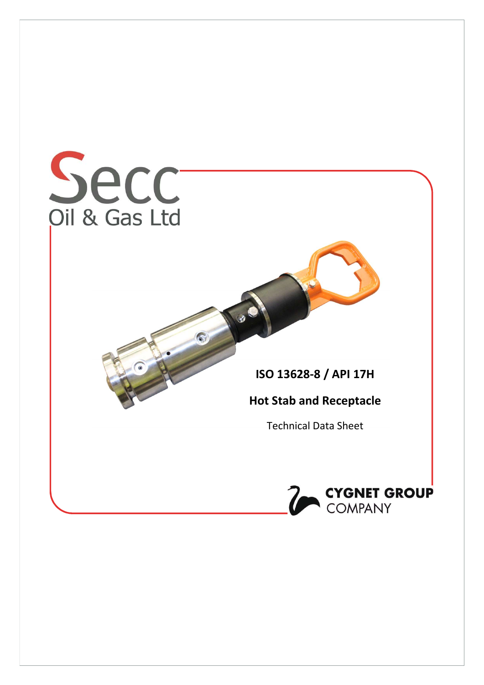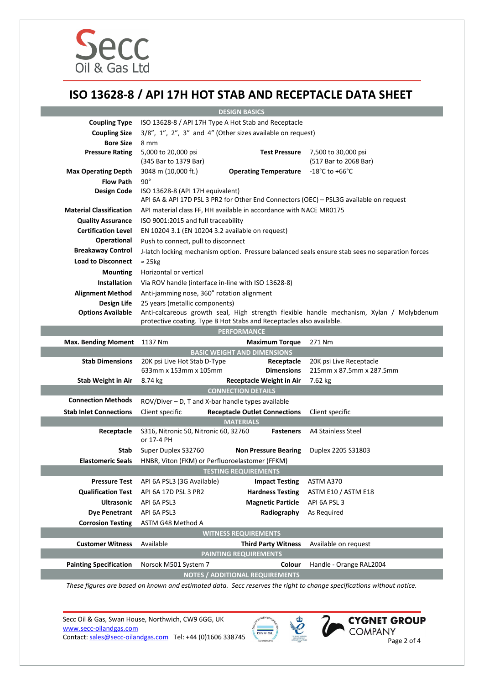

# ISO 13628-8 / API 17H HOT STAB AND RECEPTACLE DATA SHEET

| <b>DESIGN BASICS</b>           |                                                                                                                            |                                        |                                              |  |
|--------------------------------|----------------------------------------------------------------------------------------------------------------------------|----------------------------------------|----------------------------------------------|--|
| <b>Coupling Type</b>           | ISO 13628-8 / API 17H Type A Hot Stab and Receptacle                                                                       |                                        |                                              |  |
| <b>Coupling Size</b>           | 3/8", 1", 2", 3" and 4" (Other sizes available on request)                                                                 |                                        |                                              |  |
| <b>Bore Size</b>               | 8 mm                                                                                                                       |                                        |                                              |  |
| <b>Pressure Rating</b>         | 5,000 to 20,000 psi<br>(345 Bar to 1379 Bar)                                                                               | <b>Test Pressure</b>                   | 7,500 to 30,000 psi<br>(517 Bar to 2068 Bar) |  |
| <b>Max Operating Depth</b>     | 3048 m (10,000 ft.)                                                                                                        | <b>Operating Temperature</b>           | -18°C to +66°C                               |  |
| <b>Flow Path</b>               | $90^{\circ}$                                                                                                               |                                        |                                              |  |
| <b>Design Code</b>             | ISO 13628-8 (API 17H equivalent)<br>API 6A & API 17D PSL 3 PR2 for Other End Connectors (OEC) - PSL3G available on request |                                        |                                              |  |
| <b>Material Classification</b> | API material class FF, HH available in accordance with NACE MR0175                                                         |                                        |                                              |  |
| <b>Quality Assurance</b>       | ISO 9001:2015 and full traceability                                                                                        |                                        |                                              |  |
| <b>Certification Level</b>     | EN 10204 3.1 (EN 10204 3.2 available on request)                                                                           |                                        |                                              |  |
| <b>Operational</b>             | Push to connect, pull to disconnect                                                                                        |                                        |                                              |  |
| <b>Breakaway Control</b>       | J-latch locking mechanism option. Pressure balanced seals ensure stab sees no separation forces                            |                                        |                                              |  |
| <b>Load to Disconnect</b>      | $\approx$ 25 kg                                                                                                            |                                        |                                              |  |
| <b>Mounting</b>                | Horizontal or vertical                                                                                                     |                                        |                                              |  |
| <b>Installation</b>            | Via ROV handle (interface in-line with ISO 13628-8)                                                                        |                                        |                                              |  |
| <b>Alignment Method</b>        | Anti-jamming nose, 360° rotation alignment                                                                                 |                                        |                                              |  |
| Design Life                    | 25 years (metallic components)                                                                                             |                                        |                                              |  |
| <b>Options Available</b>       | Anti-calcareous growth seal, High strength flexible handle mechanism, Xylan / Molybdenum                                   |                                        |                                              |  |
|                                | protective coating. Type B Hot Stabs and Receptacles also available.                                                       |                                        |                                              |  |
|                                |                                                                                                                            | <b>PERFORMANCE</b>                     |                                              |  |
| <b>Max. Bending Moment</b>     | 1137 Nm                                                                                                                    | <b>Maximum Torque</b>                  | 271 Nm                                       |  |
| <b>Stab Dimensions</b>         | <b>BASIC WEIGHT AND DIMENSIONS</b><br>20K psi Live Hot Stab D-Type<br>20K psi Live Receptacle<br>Receptacle                |                                        |                                              |  |
|                                | 633mm x 153mm x 105mm<br><b>Dimensions</b>                                                                                 |                                        | 215mm x 87.5mm x 287.5mm                     |  |
| <b>Stab Weight in Air</b>      | 8.74 kg                                                                                                                    | <b>Receptacle Weight in Air</b>        | 7.62 kg                                      |  |
|                                | <b>CONNECTION DETAILS</b>                                                                                                  |                                        |                                              |  |
| <b>Connection Methods</b>      | ROV/Diver - D, T and X-bar handle types available                                                                          |                                        |                                              |  |
| <b>Stab Inlet Connections</b>  | Client specific                                                                                                            | <b>Receptacle Outlet Connections</b>   | Client specific                              |  |
|                                | <b>MATERIALS</b>                                                                                                           |                                        |                                              |  |
| Receptacle                     | S316, Nitronic 50, Nitronic 60, 32760<br>or 17-4 PH                                                                        | <b>Fasteners</b>                       | A4 Stainless Steel                           |  |
| Stab                           | Super Duplex S32760                                                                                                        | <b>Non Pressure Bearing</b>            | Duplex 2205 S31803                           |  |
| <b>Elastomeric Seals</b>       | HNBR, Viton (FKM) or Perfluoroelastomer (FFKM)                                                                             |                                        |                                              |  |
| <b>TESTING REQUIREMENTS</b>    |                                                                                                                            |                                        |                                              |  |
| <b>Pressure Test</b>           | API 6A PSL3 (3G Available)                                                                                                 | <b>Impact Testing</b>                  | ASTM A370                                    |  |
| <b>Qualification Test</b>      | API 6A 17D PSL 3 PR2                                                                                                       | <b>Hardness Testing</b>                | ASTM E10 / ASTM E18                          |  |
| <b>Ultrasonic</b>              | API 6A PSL3                                                                                                                | <b>Magnetic Particle</b>               | API 6A PSL 3                                 |  |
| <b>Dye Penetrant</b>           | API 6A PSL3                                                                                                                | Radiography                            | As Required                                  |  |
| <b>Corrosion Testing</b>       | ASTM G48 Method A                                                                                                          |                                        |                                              |  |
| <b>WITNESS REQUIREMENTS</b>    |                                                                                                                            |                                        |                                              |  |
| <b>Customer Witness</b>        | Available                                                                                                                  | <b>Third Party Witness</b>             | Available on request                         |  |
|                                |                                                                                                                            | <b>PAINTING REQUIREMENTS</b>           |                                              |  |
| <b>Painting Specification</b>  | Norsok M501 System 7                                                                                                       | Colour                                 | Handle - Orange RAL2004                      |  |
|                                |                                                                                                                            | <b>NOTES / ADDITIONAL REQUIREMENTS</b> |                                              |  |

These figures are based on known and estimated data. Secc reserves the right to change specifications without notice.

Secc Oil & Gas, Swan House, Northwich, CW9 6GG, UK www.secc-oilandgas.com EXAM COMPANY COMPANY Contact: sales@secc-oilandgas.com Tel: +44 (0)1606 338745



 $\boldsymbol{\varrho}$ 

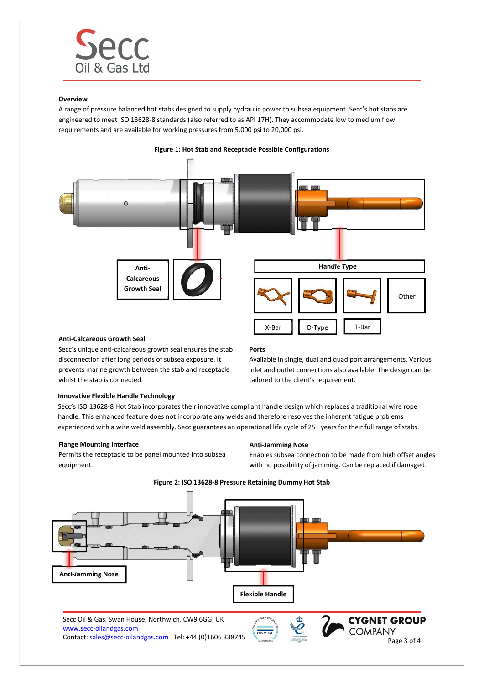

# Overview

A range of pressure balanced hot stabs designed to supply hydraulic power to subsea equipment. Secc's hot stabs are engineered to meet ISO 13628-8 standards (also referred to as API 17H). They accommodate low to medium flow requirements and are available for working pressures from 5,000 psi to 20,000 psi.



Figure 1: Hot Stab and Receptacle Possible Configurations

#### Anti-Calcareous Growth Seal

Secc's unique anti-calcareous growth seal ensures the stab disconnection after long periods of subsea exposure. It prevents marine growth between the stab and receptacle whilst the stab is connected.

#### Ports

Available in single, dual and quad port arrangements. Various inlet and outlet connections also available. The design can be tailored to the client's requirement.

## Innovative Flexible Handle Technology

Secc's ISO 13628-8 Hot Stab incorporates their innovative compliant handle design which replaces a traditional wire rope handle. This enhanced feature does not incorporate any welds and therefore resolves the inherent fatigue problems experienced with a wire weld assembly. Secc guarantees an operational life cycle of 25+ years for their full range of stabs.

#### Flange Mounting Interface

Permits the receptacle to be panel mounted into subsea equipment.

#### Anti-Jamming Nose

Enables subsea connection to be made from high offset angles with no possibility of jamming. Can be replaced if damaged.



Figure 2: ISO 13628-8 Pressure Retaining Dummy Hot Stab